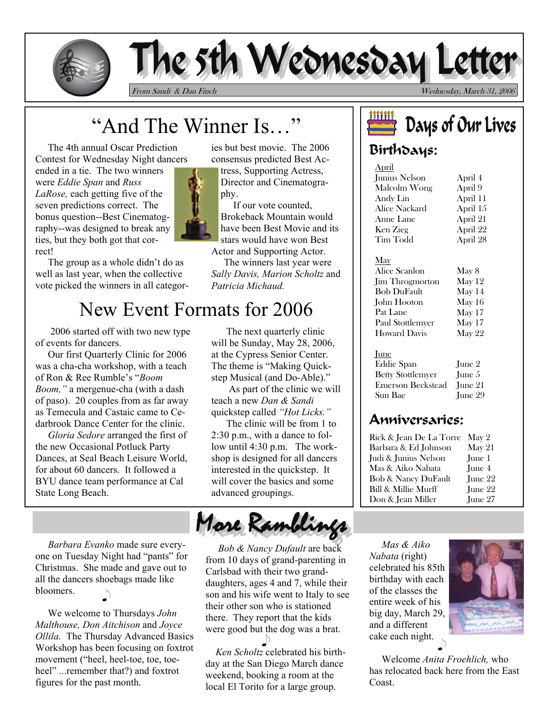

# The 5th Wednesday Le

From Sandi & Dan Finch Wednesday, March 31, 2006

# "And The Winner Is…"

 The 4th annual Oscar Prediction Contest for Wednesday Night dancers ended in a tie. The two winners were *Eddie Span* and *Russ LaRose,* each getting five of the seven predictions correct. The bonus question--Best Cinematography--was designed to break any ties, but they both got that correct!

 The group as a whole didn't do as well as last year, when the collective vote picked the winners in all categor-

ies but best movie. The 2006 consensus predicted Best Ac-

tress, Supporting Actress, Director and Cinematography.

 If our vote counted, Brokeback Mountain would have been Best Movie and its stars would have won Best Actor and Supporting Actor.

 The winners last year were *Sally Davis, Marion Scholtz* and *Patricia Michaud.* 

# New Event Formats for 2006

 2006 started off with two new type of events for dancers.

 Our first Quarterly Clinic for 2006 was a cha-cha workshop, with a teach of Ron & Ree Rumble's "*Boom Boom,"* a mergenue-cha (with a dash of paso). 20 couples from as far away as Temecula and Castaic came to Cedarbrook Dance Center for the clinic.

 *Gloria Sedore* arranged the first of the new Occasional Potluck Party Dances, at Seal Beach Leisure World, for about 60 dancers. It followed a BYU dance team performance at Cal State Long Beach.

 *Barbara Evanko* made sure everyone on Tuesday Night had "pants" for Christmas. She made and gave out to all the dancers shoebags made like bloomers.  $\mathcal{D}$ 

 We welcome to Thursdays *John Malthouse, Don Aitchison* and *Joyce Ollila.* The Thursday Advanced Basics Workshop has been focusing on foxtrot movement ("heel, heel-toe, toe, toeheel" ...remember that?) and foxtrot figures for the past month.

 The next quarterly clinic will be Sunday, May 28, 2006, at the Cypress Senior Center. The theme is "Making Quickstep Musical (and Do-Able)."

 As part of the clinic we will teach a new *Dan & Sandi*  quickstep called *"Hot Licks."* 

The clinic will be from 1 to 2:30 p.m., with a dance to follow until 4:30 p.m. The workshop is designed for all dancers interested in the quickstep. It will cover the basics and some advanced groupings.

More Ramblings

 *Bob & Nancy Dufault* are back from 10 days of grand-parenting in Carlsbad with their two granddaughters, ages 4 and 7, while their son and his wife went to Italy to see their other son who is stationed there. They report that the kids were good but the dog was a brat.  $\Box$ 

 *Ken Scholtz* celebrated his birthday at the San Diego March dance weekend, booking a room at the local El Torito for a large group.

# <u>iiiiiii</u> Days of Our Lives

# Birthdays:

| April         |          |
|---------------|----------|
| Junius Nelson | April 4  |
| Malcolm Wong  | April 9  |
| Andv Lin      | April 11 |
| Alice Nackard | April 15 |
| Anne Lane     | April 21 |
| Ken Zieg      | April 22 |
| Tim Todd      | April 28 |
|               |          |

#### May

Alice Scanlon Jim Throgmorton Bob DuFault John Hooton Pat Lane Paul Stottlemyer Howard Davis May 8 May 12 May 14 May 16 May 17 May 17 May 22

#### June

Eddie Span Betty Stottlemyer Emerson Beckstead June 21 Sun Bae June 2 June 5 June 29

# Anniversaries:

| Rick & Jean De La Torre | May 2                   |
|-------------------------|-------------------------|
| Barbara & Ed Johnson    | $\operatorname{Mav} 21$ |
| Judi & Junius Nelson    | June 1                  |
| Mas & Aiko Nabata       | Iune 4                  |
| Bob & Nancy DuFault     | Iune 22                 |
| Bill & Millie Murff     | June 22                 |
| Don & Jean Miller       | Iune 27                 |

 *Mas & Aiko Nabata* (right) celebrated his 85th birthday with each of the classes the entire week of his big day, March 29, and a different cake each night.



 Welcome *Anita Froehlich,* who has relocated back here from the East Coast.